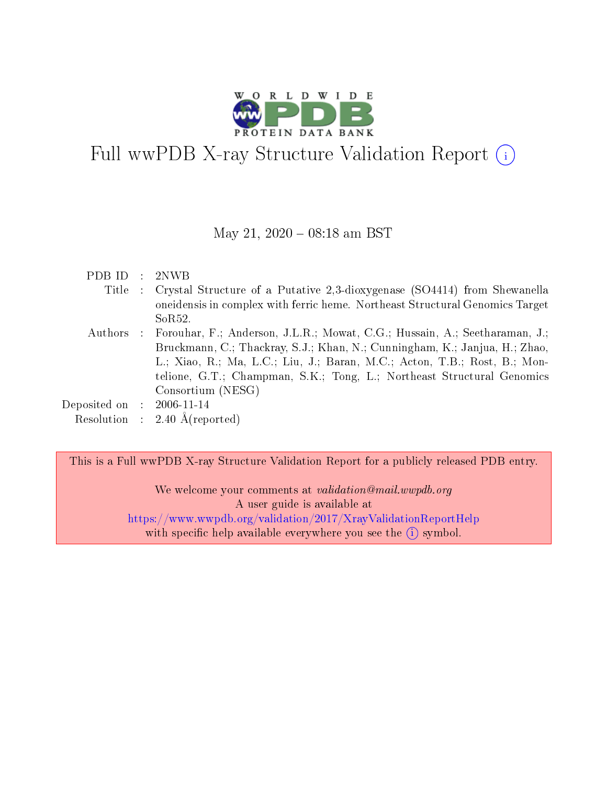

# Full wwPDB X-ray Structure Validation Report (i)

#### May 21,  $2020 - 08:18$  am BST

| PDB ID.                     | $\sim 100$ | 2NWB                                                                                 |
|-----------------------------|------------|--------------------------------------------------------------------------------------|
| Title                       |            | : Crystal Structure of a Putative 2,3-dioxygenase (SO4414) from Shewanella           |
|                             |            | one identifies in complex with ferric heme. Northeast Structural Genomics Target     |
|                             |            | SoR52.                                                                               |
|                             |            | Authors : Forouhar, F.; Anderson, J.L.R.; Mowat, C.G.; Hussain, A.; Seetharaman, J.; |
|                             |            | Bruckmann, C.; Thackray, S.J.; Khan, N.; Cunningham, K.; Janjua, H.; Zhao,           |
|                             |            | L.; Xiao, R.; Ma, L.C.; Liu, J.; Baran, M.C.; Acton, T.B.; Rost, B.; Mon-            |
|                             |            | telione, G.T.; Champman, S.K.; Tong, L.; Northeast Structural Genomics               |
|                             |            | Consortium (NESG)                                                                    |
| Deposited on : $2006-11-14$ |            |                                                                                      |
|                             |            | Resolution : $2.40 \text{ Å}$ (reported)                                             |

This is a Full wwPDB X-ray Structure Validation Report for a publicly released PDB entry.

We welcome your comments at validation@mail.wwpdb.org A user guide is available at <https://www.wwpdb.org/validation/2017/XrayValidationReportHelp> with specific help available everywhere you see the  $(i)$  symbol.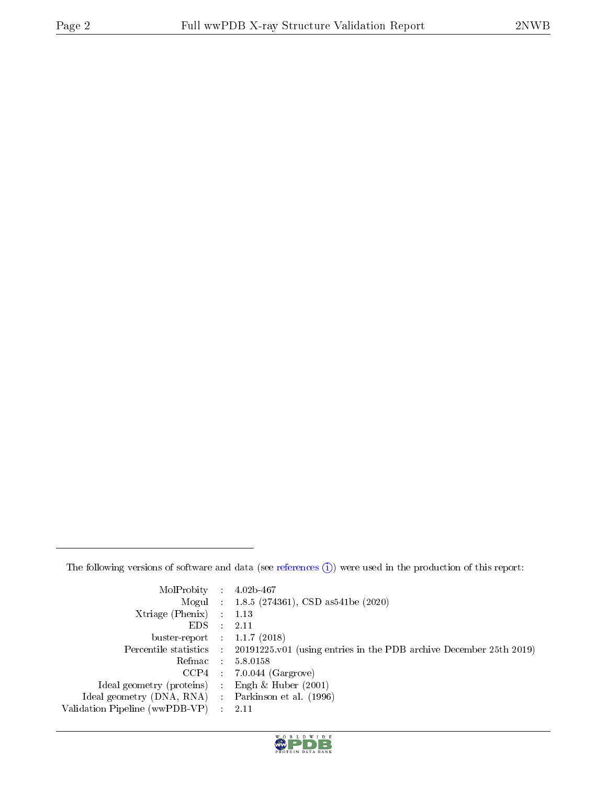The following versions of software and data (see [references](https://www.wwpdb.org/validation/2017/XrayValidationReportHelp#references)  $\circled{1}$ ) were used in the production of this report:

| $MolProbability$ : 4.02b-467                                                               |  |
|--------------------------------------------------------------------------------------------|--|
| Mogul : $1.8.5$ (274361), CSD as 541be (2020)                                              |  |
| Xtriage (Phenix) $: 1.13$                                                                  |  |
| EDS.<br>2.11                                                                               |  |
| buster-report : $1.1.7$ (2018)                                                             |  |
| Percentile statistics : 20191225.v01 (using entries in the PDB archive December 25th 2019) |  |
| 5.8.0158<br>$Refmac$ :                                                                     |  |
| $CCP4$ : 7.0.044 (Gargrove)                                                                |  |
| Engh $\&$ Huber (2001)<br>Ideal geometry (proteins) :                                      |  |
| Ideal geometry (DNA, RNA)<br>Parkinson et al. (1996)                                       |  |
| Validation Pipeline (wwPDB-VP) :<br>2.11                                                   |  |

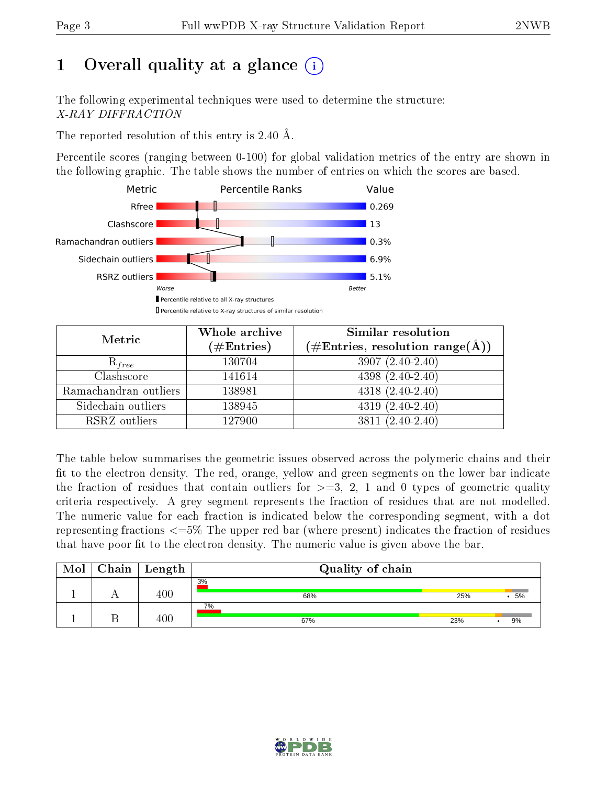## 1 [O](https://www.wwpdb.org/validation/2017/XrayValidationReportHelp#overall_quality)verall quality at a glance  $\left( \cdot \right)$

The following experimental techniques were used to determine the structure: X-RAY DIFFRACTION

The reported resolution of this entry is 2.40 Å.

Percentile scores (ranging between 0-100) for global validation metrics of the entry are shown in the following graphic. The table shows the number of entries on which the scores are based.



| Metric                | Whole archive<br>$(\#\mathrm{Entries})$ | Similar resolution<br>$(\#\text{Entries}, \text{resolution range}(\text{\AA}))$ |  |  |
|-----------------------|-----------------------------------------|---------------------------------------------------------------------------------|--|--|
| $R_{free}$            | 130704                                  | $3907(2.40-2.40)$                                                               |  |  |
| Clashscore            | 141614                                  | $4398(2.40-2.40)$                                                               |  |  |
| Ramachandran outliers | 138981                                  | $4318(2.40-2.40)$                                                               |  |  |
| Sidechain outliers    | 138945                                  | $4319(2.40-2.40)$                                                               |  |  |
| RSRZ outliers         | 127900                                  | $3811(2.40-2.40)$                                                               |  |  |

The table below summarises the geometric issues observed across the polymeric chains and their fit to the electron density. The red, orange, yellow and green segments on the lower bar indicate the fraction of residues that contain outliers for  $\geq=3$ , 2, 1 and 0 types of geometric quality criteria respectively. A grey segment represents the fraction of residues that are not modelled. The numeric value for each fraction is indicated below the corresponding segment, with a dot representing fractions <=5% The upper red bar (where present) indicates the fraction of residues that have poor fit to the electron density. The numeric value is given above the bar.

| Mol | Chain | Length  | Quality of chain |     |    |  |  |  |
|-----|-------|---------|------------------|-----|----|--|--|--|
|     |       | 400     | 3%<br>68%        | 25% | 5% |  |  |  |
|     |       | $400\,$ | 7%<br>67%        | 23% | 9% |  |  |  |

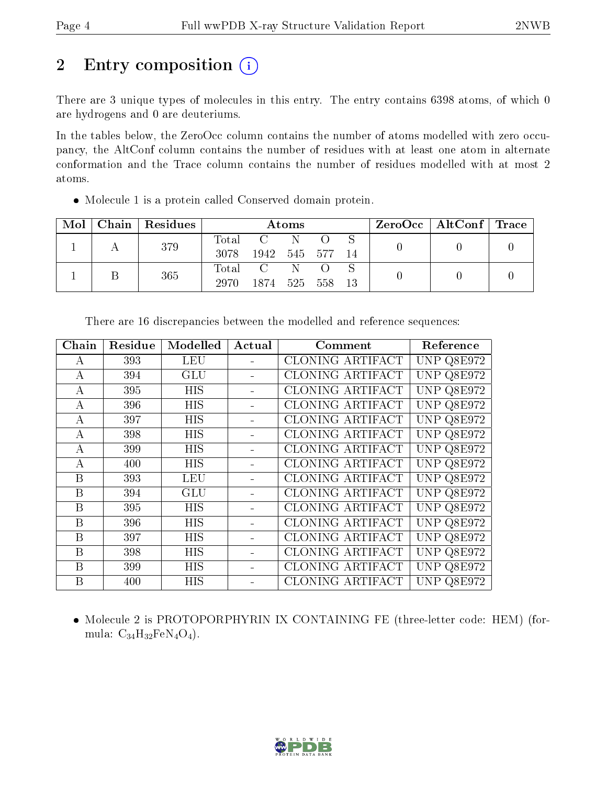## 2 Entry composition (i)

There are 3 unique types of molecules in this entry. The entry contains 6398 atoms, of which 0 are hydrogens and 0 are deuteriums.

In the tables below, the ZeroOcc column contains the number of atoms modelled with zero occupancy, the AltConf column contains the number of residues with at least one atom in alternate conformation and the Trace column contains the number of residues modelled with at most 2 atoms.

Molecule 1 is a protein called Conserved domain protein.

| Mol | Chain | Residues | Atoms               |      |     |         | $ZeroOcc \mid AltConf \mid Trace$ |  |  |
|-----|-------|----------|---------------------|------|-----|---------|-----------------------------------|--|--|
|     |       | 379      | $\rm Total$<br>3078 | 1942 |     | 545 577 | 14                                |  |  |
|     |       | 365      | $\rm Total$<br>2970 | 1874 | 525 | 558     | 13                                |  |  |

| Chain            | Residue | Modelled   | Actual | Comment                 | Reference  |
|------------------|---------|------------|--------|-------------------------|------------|
| A                | 393     | <b>LEU</b> |        | CLONING ARTIFACT        | UNP Q8E972 |
| $\boldsymbol{A}$ | 394     | <b>GLU</b> |        | CLONING ARTIFACT        | UNP Q8E972 |
| А                | 395     | <b>HIS</b> |        | CLONING ARTIFACT        | UNP Q8E972 |
| A                | 396     | <b>HIS</b> |        | CLONING ARTIFACT        | UNP Q8E972 |
| $\bf{A}$         | 397     | HIS        |        | <b>CLONING ARTIFACT</b> | UNP Q8E972 |
| $\bf{A}$         | 398     | <b>HIS</b> |        | CLONING ARTIFACT        | UNP Q8E972 |
| A                | 399     | <b>HIS</b> |        | CLONING ARTIFACT        | UNP Q8E972 |
| А                | 400     | HIS        |        | CLONING ARTIFACT        | UNP Q8E972 |
| B                | 393     | <b>LEU</b> |        | CLONING ARTIFACT        | UNP Q8E972 |
| B                | 394     | <b>GLU</b> |        | CLONING ARTIFACT        | UNP Q8E972 |
| B                | 395     | <b>HIS</b> |        | CLONING ARTIFACT        | UNP Q8E972 |
| B                | 396     | <b>HIS</b> |        | CLONING ARTIFACT        | UNP Q8E972 |
| B                | 397     | <b>HIS</b> |        | CLONING ARTIFACT        | UNP Q8E972 |
| B                | 398     | <b>HIS</b> |        | CLONING ARTIFACT        | UNP Q8E972 |
| B                | 399     | HIS        |        | CLONING ARTIFACT        | UNP Q8E972 |
| B                | 400     | <b>HIS</b> |        | CLONING ARTIFACT        | UNP Q8E972 |

There are 16 discrepancies between the modelled and reference sequences:

 Molecule 2 is PROTOPORPHYRIN IX CONTAINING FE (three-letter code: HEM) (formula:  $C_{34}H_{32}FeN_4O_4$ .

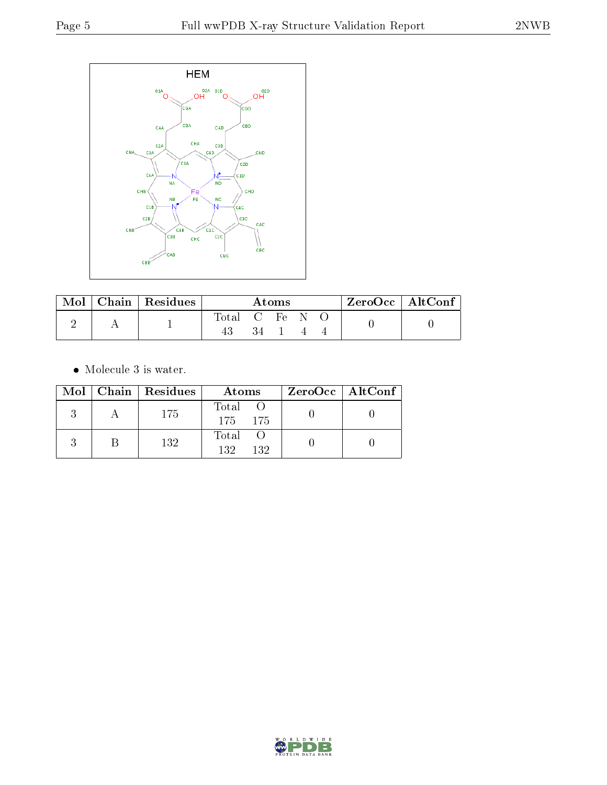

| $\operatorname{Mol}$ |  | $Chain$ Residues | Atoms      |  |  |  | $ZeroOcc \   \ AltConf \  $ |  |
|----------------------|--|------------------|------------|--|--|--|-----------------------------|--|
|                      |  |                  | Total C Fe |  |  |  |                             |  |
|                      |  |                  |            |  |  |  |                             |  |

 $\bullet\,$  Molecule 3 is water.

|  | $Mol$   Chain   Residues | Atoms              | $ZeroOcc \   \ AltConf \  $ |
|--|--------------------------|--------------------|-----------------------------|
|  | -175                     | Total O<br>175 175 |                             |
|  | 132                      | Total O<br>132 132 |                             |

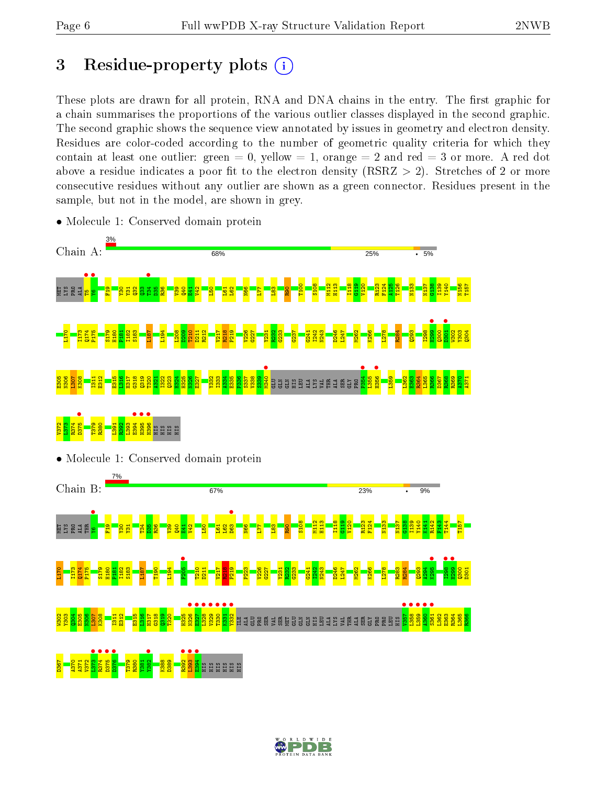## 3 Residue-property plots  $(i)$

These plots are drawn for all protein, RNA and DNA chains in the entry. The first graphic for a chain summarises the proportions of the various outlier classes displayed in the second graphic. The second graphic shows the sequence view annotated by issues in geometry and electron density. Residues are color-coded according to the number of geometric quality criteria for which they contain at least one outlier: green  $= 0$ , yellow  $= 1$ , orange  $= 2$  and red  $= 3$  or more. A red dot above a residue indicates a poor fit to the electron density (RSRZ  $> 2$ ). Stretches of 2 or more consecutive residues without any outlier are shown as a green connector. Residues present in the sample, but not in the model, are shown in grey.



• Molecule 1: Conserved domain protein

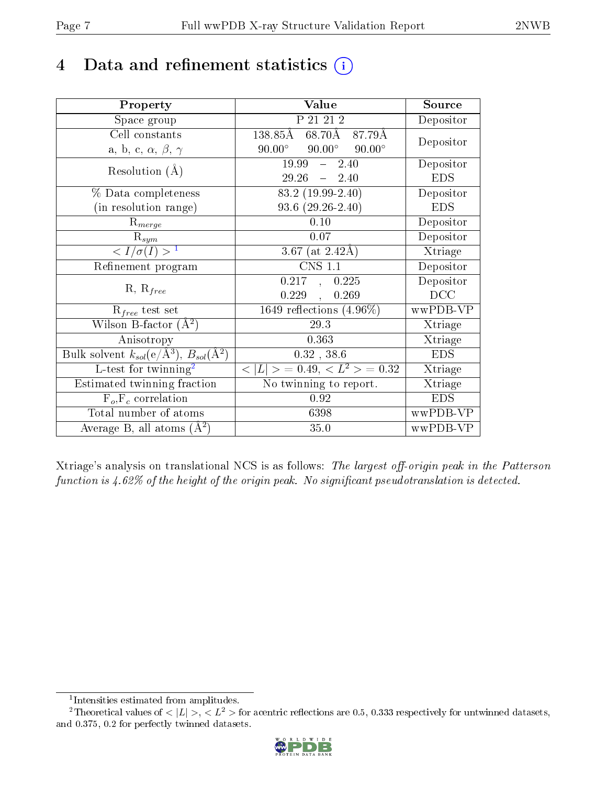## 4 Data and refinement statistics  $(i)$

| Property                                                             | Value                                             | Source                       |
|----------------------------------------------------------------------|---------------------------------------------------|------------------------------|
| Space group                                                          | P 21 21 2                                         | Depositor                    |
| Cell constants                                                       | $138.85\text{\AA}$<br>$68.70\text{\AA}$<br>87.79Å | Depositor                    |
| a, b, c, $\alpha$ , $\beta$ , $\gamma$                               | $90.00^\circ$<br>$90.00^\circ$<br>$90.00^{\circ}$ |                              |
| Resolution $(A)$                                                     | 19.99<br>2.40<br>$\frac{1}{2}$                    | Depositor                    |
|                                                                      | $29.26 - 2.40$                                    | <b>EDS</b>                   |
| % Data completeness                                                  | 83.2 (19.99-2.40)                                 | Depositor                    |
| (in resolution range)                                                | $93.6(29.26-2.40)$                                | <b>EDS</b>                   |
| $R_{merge}$                                                          | 0.10                                              | Depositor                    |
| $\mathrm{R}_{sym}$                                                   | 0.07                                              | Depositor                    |
| $\langle I/\sigma(I) \rangle^{-1}$                                   | 3.67 (at $2.42\text{\AA})$                        | Xtriage                      |
| Refinement program                                                   | <b>CNS 1.1</b>                                    | Depositor                    |
|                                                                      | 0.217<br>0.225<br>$\Delta$ .                      | Depositor                    |
| $R, R_{free}$                                                        | 0.229<br>0.269<br>$\ddot{\phantom{a}}$            | DCC                          |
| $R_{free}$ test set                                                  | 1649 reflections $(4.96\%)$                       | wwPDB-VP                     |
| Wilson B-factor $(A^2)$                                              | 29.3                                              | Xtriage                      |
| Anisotropy                                                           | 0.363                                             | Xtriage                      |
| Bulk solvent $k_{sol}(e/\mathring{A}^3)$ , $B_{sol}(\mathring{A}^2)$ | $0.32$ , $38.6$                                   | <b>EDS</b>                   |
| L-test for twinning <sup>2</sup>                                     | $< L >$ = 0.49, $< L2$ > = 0.32                   | Xtriage                      |
| Estimated twinning fraction                                          | No twinning to report.                            | $\overline{\text{X}}$ triage |
| $\overline{F_o}, \overline{F_c}$ correlation                         | 0.92                                              | <b>EDS</b>                   |
| Total number of atoms                                                | 6398                                              | wwPDB-VP                     |
| Average B, all atoms $(A^2)$                                         | 35.0                                              | wwPDB-VP                     |

Xtriage's analysis on translational NCS is as follows: The largest off-origin peak in the Patterson function is  $4.62\%$  of the height of the origin peak. No significant pseudotranslation is detected.

<sup>&</sup>lt;sup>2</sup>Theoretical values of  $\langle |L| \rangle$ ,  $\langle L^2 \rangle$  for acentric reflections are 0.5, 0.333 respectively for untwinned datasets, and 0.375, 0.2 for perfectly twinned datasets.



<span id="page-6-1"></span><span id="page-6-0"></span><sup>1</sup> Intensities estimated from amplitudes.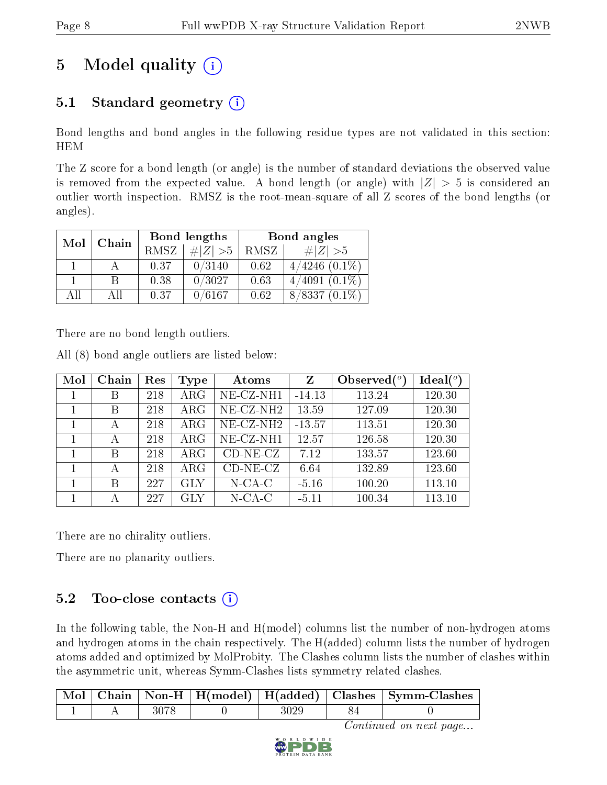## 5 Model quality  $(i)$

### 5.1 Standard geometry  $(i)$

Bond lengths and bond angles in the following residue types are not validated in this section: HEM

The Z score for a bond length (or angle) is the number of standard deviations the observed value is removed from the expected value. A bond length (or angle) with  $|Z| > 5$  is considered an outlier worth inspection. RMSZ is the root-mean-square of all Z scores of the bond lengths (or angles).

| Mol | Chain |             | Bond lengths | Bond angles |                    |  |
|-----|-------|-------------|--------------|-------------|--------------------|--|
|     |       | <b>RMSZ</b> | # $ Z  > 5$  | RMSZ        | $\# Z  > 5$        |  |
|     |       | 0.37        | 0/3140       | 0.62        | $4/4246$ $(0.1\%)$ |  |
|     | B     | 0.38        | 0/3027       | 0.63        | $4/4091(0.1\%)$    |  |
| AH  | АH    | 0.37        | 0/6167       | 0.62        | $8/8337$ $(0.1\%)$ |  |

There are no bond length outliers.

All (8) bond angle outliers are listed below:

| Mol | Chain | Res | Type       | Atoms                    | Z        | Observed $(°)$ | Ideal <sup>(o)</sup> |
|-----|-------|-----|------------|--------------------------|----------|----------------|----------------------|
|     | В     | 218 | $\rm{ARG}$ | NE-CZ-NH1                | $-14.13$ | 113.24         | 120.30               |
|     | В     | 218 | $\rm{ARG}$ | $NE$ -CZ-NH <sub>2</sub> | 13.59    | 127.09         | 120.30               |
|     | А     | 218 | $\rm{ARG}$ | $NE$ -CZ-NH <sub>2</sub> | $-13.57$ | 113.51         | 120.30               |
|     | А     | 218 | $\rm{ARG}$ | NE-CZ-NH1                | 12.57    | 126.58         | 120.30               |
|     | B     | 218 | $\rm{ARG}$ | $CD-NE- CZ$              | 7.12     | 133.57         | 123.60               |
|     | А     | 218 | $\rm{ARG}$ | $CD-NE- CZ$              | 6.64     | 132.89         | 123.60               |
|     | B     | 227 | <b>GLY</b> | $N$ -CA-C                | $-5.16$  | 100.20         | 113.10               |
|     |       | 227 | GLY        | $N$ -CA-C                | $-5.11$  | 100.34         | 113.10               |

There are no chirality outliers.

There are no planarity outliers.

### $5.2$  Too-close contacts  $(i)$

In the following table, the Non-H and H(model) columns list the number of non-hydrogen atoms and hydrogen atoms in the chain respectively. The H(added) column lists the number of hydrogen atoms added and optimized by MolProbity. The Clashes column lists the number of clashes within the asymmetric unit, whereas Symm-Clashes lists symmetry related clashes.

|  |      |  | Mol   Chain   Non-H   H(model)   H(added)   Clashes   Symm-Clashes |
|--|------|--|--------------------------------------------------------------------|
|  | 3078 |  |                                                                    |

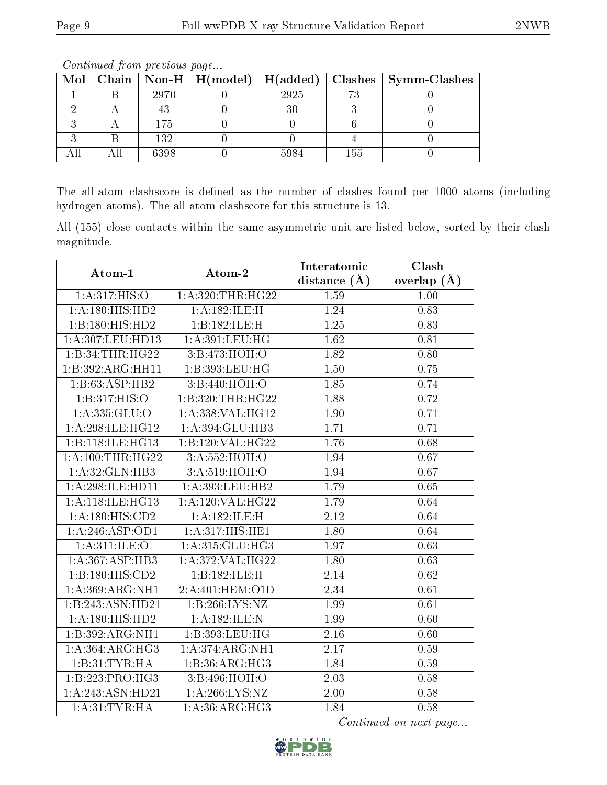| Mol | Chain |      | $\mid$ Non-H $\mid$ H(model) $\mid$ | H(added) |     | $Class \mid Symm-Class$ |
|-----|-------|------|-------------------------------------|----------|-----|-------------------------|
|     |       | 2970 |                                     | 2925     |     |                         |
|     |       |      |                                     |          |     |                         |
|     |       | 175  |                                     |          |     |                         |
|     |       | 132  |                                     |          |     |                         |
|     |       | 6398 |                                     | 5984     | 155 |                         |

Continued from previous page...

The all-atom clashscore is defined as the number of clashes found per 1000 atoms (including hydrogen atoms). The all-atom clashscore for this structure is 13.

All (155) close contacts within the same asymmetric unit are listed below, sorted by their clash magnitude.

| Atom-1              | Atom-2                        | Interatomic       | Clash         |
|---------------------|-------------------------------|-------------------|---------------|
|                     |                               | distance (Å)      | overlap $(A)$ |
| 1: A:317: HIS:O     | 1:A:320:THR:HG22              | 1.59              | 1.00          |
| 1: A: 180: HIS: HD2 | 1:A:182:ILE:H                 | 1.24              | 0.83          |
| 1:B:180:HIS:HD2     | 1:B:182:ILE:H                 | $\overline{1.25}$ | 0.83          |
| 1:A:307:LEU:HD13    | 1: A:391:LEU:HG               | 1.62              | 0.81          |
| 1:B:34:THR:HG22     | $3: B: 473: \overline{HOH:O}$ | 1.82              | 0.80          |
| 1:B:392:ARG:HH11    | 1:B:393:LEU:HG                | 1.50              | 0.75          |
| 1:B:63:ASP:HB2      | 3:B:440:HOH:O                 | 1.85              | 0.74          |
| 1:B:317:HIS:O       | 1:B:320:THR:HG22              | 1.88              | 0.72          |
| 1: A: 335: GLU:O    | 1: A: 338: VAL:HG12           | 1.90              | 0.71          |
| 1:A:298:ILE:HG12    | 1:A:394:GLU:HB3               | 1.71              | 0.71          |
| 1:B:118:ILE:HG13    | 1:B:120:VAL:HG22              | 1.76              | 0.68          |
| 1: A:100:THR:HG22   | 3:A:552:HOH:O                 | 1.94              | 0.67          |
| 1: A:32: GLN:HB3    | 3: A:519:HOH:O                | 1.94              | 0.67          |
| 1:A:298:ILE:HD11    | 1: A:393:LEU:HB2              | 1.79              | 0.65          |
| 1:A:118:ILE:HG13    | 1:A:120:VAL:HG22              | 1.79              | 0.64          |
| 1:A:180:HIS:CD2     | 1:A:182:ILE:H                 | 2.12              | 0.64          |
| 1:A:246:ASP:OD1     | 1:A:317:HIS:HE1               | 1.80              | 0.64          |
| 1:A:311:ILE:O       | 1: A:315: GLU:HG3             | 1.97              | 0.63          |
| 1: A:367: ASP:HB3   | 1: A:372: VAL:HG22            | 1.80              | 0.63          |
| 1:B:180:HIS:CD2     | 1:B:182:ILE:H                 | 2.14              | 0.62          |
| 1:A:369:ARG:NH1     | 2:A:401:HEM:O1D               | 2.34              | 0.61          |
| 1:B:243:ASN:HD21    | 1:B:266:LYS:NZ                | 1.99              | 0.61          |
| 1: A: 180: HIS: HD2 | 1:A:182:ILE:N                 | 1.99              | 0.60          |
| 1:B:392:ARG:NH1     | 1:B:393:LEU:HG                | 2.16              | 0.60          |
| 1:A:364:ARG:HG3     | 1:A:374:ARG:NH1               | 2.17              | 0.59          |
| 1:B:31:TYR:HA       | 1:B:36:ARG:HG3                | 1.84              | 0.59          |
| 1:B:223:PRO:HG3     | 3:B:496:HOH:O                 | 2.03              | 0.58          |
| 1:A:243:ASN:HD21    | 1: A:266: LYS:NZ              | 2.00              | 0.58          |
| 1: A:31:TYR:HA      | 1: A:36: ARG:HG3              | 1.84              | 0.58          |

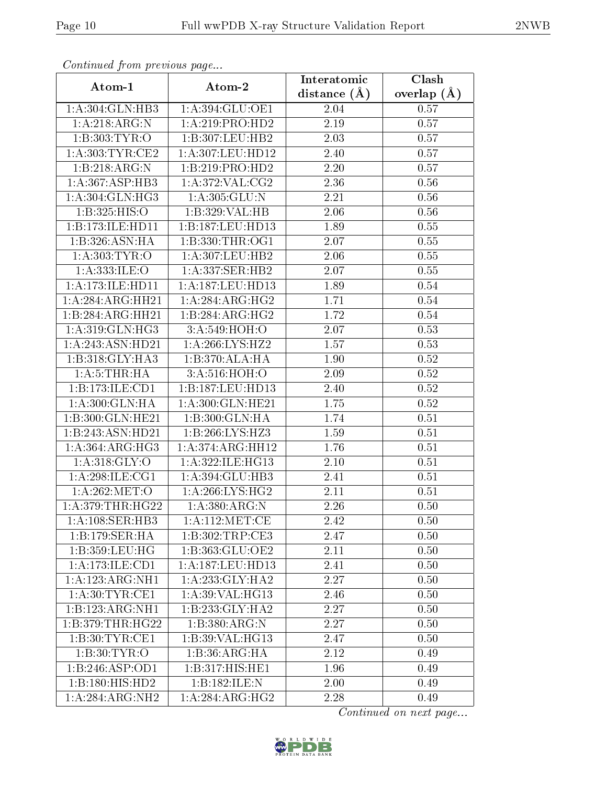| Continued from previous page |                     | Interatomic      | $\overline{\text{Clash}}$ |
|------------------------------|---------------------|------------------|---------------------------|
| Atom-1                       | Atom-2              | distance $(\AA)$ | overlap $(\AA)$           |
| 1:A:304:GLN:HB3              | 1:A:394:GLU:OE1     | 2.04             | 0.57                      |
| 1:A:218:ARG:N                | 1:A:219:PRO:HD2     | 2.19             | 0.57                      |
| 1:B:303:TYR:O                | 1:B:307:LEU:HB2     | 2.03             | 0.57                      |
| 1: A:303:TYR:CE2             | 1:A:307:LEU:HD12    | 2.40             | 0.57                      |
| 1:B:218:ARG:N                | 1:B:219:PRO:HD2     | 2.20             | 0.57                      |
| 1: A:367: ASP:HB3            | 1: A:372: VAL: CG2  | 2.36             | 0.56                      |
| 1: A:304: GLN: HG3           | 1: A: 305: GLU: N   | 2.21             | 0.56                      |
| 1:B:325:HIS:O                | 1:B:329:VAL:HB      | 2.06             | 0.56                      |
| 1:B:173:ILE:HD11             | 1:B:187:LEU:HD13    | 1.89             | 0.55                      |
| 1:B:326:ASN:HA               | 1:B:330:THR:OG1     | 2.07             | $0.55\,$                  |
| 1: A: 303: TYR: O            | 1:A:307:LEU:HB2     | 2.06             | 0.55                      |
| 1:A:333:ILE:O                | 1:A:337:SER:HB2     | 2.07             | 0.55                      |
| 1:A:173:ILE:HD11             | 1:A:187:LEU:HD13    | 1.89             | 0.54                      |
| 1:A:284:ARG:HH21             | 1: A:284:ARG:HG2    | 1.71             | 0.54                      |
| 1:B:284:ARG:HH21             | 1:B:284:ARG:HG2     | 1.72             | 0.54                      |
| 1: A:319: GLN: HG3           | 3:A:549:HOH:O       | 2.07             | 0.53                      |
| 1:A:243:ASN:HD21             | 1:A:266:LYS:HZ2     | 1.57             | 0.53                      |
| 1:B:318:GLY:HA3              | 1:B:370:ALA:HA      | 1.90             | 0.52                      |
| 1: A: 5: THEN: HA            | 3:A:516:HOH:O       | 2.09             | 0.52                      |
| 1:B:173:ILE:CD1              | 1:B:187:LEU:HD13    | 2.40             | 0.52                      |
| 1: A:300: GLN: HA            | 1: A:300: GLN: HE21 | 1.75             | 0.52                      |
| 1:B:300:GLN:HE21             | 1:B:300:GLN:HA      | 1.74             | $0.51\,$                  |
| 1:B:243:ASN:HD21             | 1:B:266:LYS:HZ3     | 1.59             | 0.51                      |
| 1:A:364:ARG:HG3              | 1:A:374:ARG:HH12    | 1.76             | 0.51                      |
| 1: A:318: GLY:O              | 1: A:322: ILE: HG13 | 2.10             | 0.51                      |
| 1: A:298: ILE:CG1            | 1:A:394:GLU:HB3     | 2.41             | 0.51                      |
| 1: A:262:MET:O               | 1: A:266: LYS: HG2  | 2.11             | 0.51                      |
| 1: A:379:THR:HG22            | 1: A:380:ARG:N      | 2.26             | 0.50                      |
| 1:A:108:SER:HB3              | 1: A: 112: MET: CE  | 2.42             | 0.50                      |
| 1:B:179:SER:HA               | 1:B:302:TRP:CE3     | 2.47             | 0.50                      |
| 1:B:359:LEU:HG               | 1:B:363:GLU:OE2     | 2.11             | 0.50                      |
| 1:A:173:ILE:CD1              | 1:A:187:LEU:HD13    | 2.41             | 0.50                      |
| 1: A: 123: ARG: NH1          | 1: A: 233: GLY: HA2 | 2.27             | 0.50                      |
| 1: A:30: TYR: CE1            | 1:A:39:VAL:HG13     | 2.46             | 0.50                      |
| 1:B:123:ARG:NH1              | 1:B:233:GLY:HA2     | 2.27             | 0.50                      |
| 1:B:379:THR:HG22             | 1:B:380:ARG:N       | 2.27             | 0.50                      |
| 1:B:30:TYR:CE1               | 1:B:39:VAL:HG13     | 2.47             | 0.50                      |
| 1: B:30: TYR:O               | 1:B:36:ARG:HA       | 2.12             | 0.49                      |
| 1:B:246:ASP:OD1              | 1:B:317:HIS:HE1     | 1.96             | 0.49                      |
| 1:B:180:HIS:HD2              | 1:B:182:ILE:N       | 2.00             | 0.49                      |
| 1:A:284:ARG:NH2              | 1:A:284:ARG:HG2     | 2.28             | 0.49                      |

Continued from previous page.

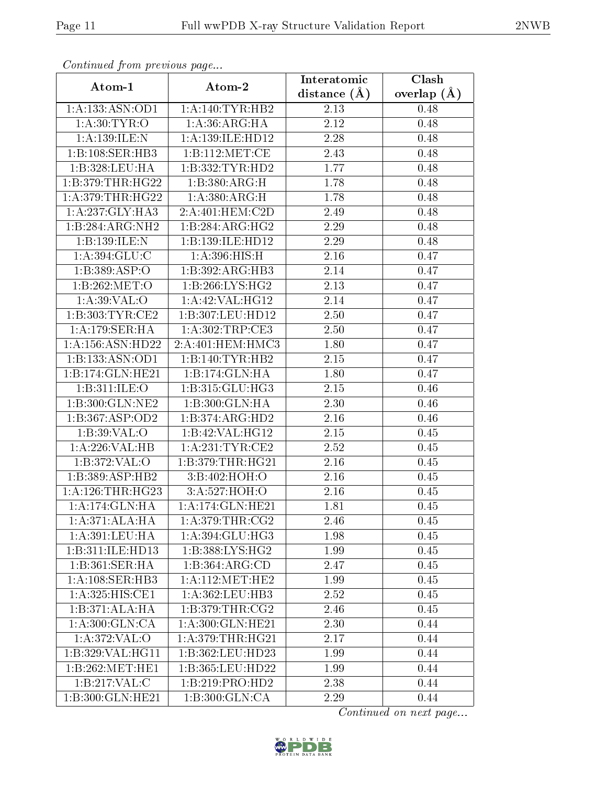| Continued from previous page              |                                | Interatomic       | Clash         |
|-------------------------------------------|--------------------------------|-------------------|---------------|
| Atom-1                                    | Atom-2                         | distance $(\AA)$  | overlap $(A)$ |
| 1: A: 133: ASN: OD1                       | 1: A:140: TYR: HB2             | 2.13              | 0.48          |
| 1: A:30: TYR:O                            | 1: A:36: ARG: HA               | 2.12              | 0.48          |
| 1:A:139:ILE:N                             | 1: A: 139: ILE: HD12           | 2.28              | 0.48          |
| 1:B:108:SER:HB3                           | 1:B:112:MET:CE                 | 2.43              | 0.48          |
| 1:B:328:LEU:HA                            | 1:B:332:TYR:HD2                | $\overline{1.77}$ | 0.48          |
| 1:B:379:THR:HG22                          | 1:B:380:ARG:H                  | 1.78              | 0.48          |
| 1:A:379:THR:HG22                          | 1: A: 380:ARG:H                | 1.78              | 0.48          |
| 1: A:237: GLY:HA3                         | 2:A:401:HEM:C2D                | 2.49              | 0.48          |
| 1:B:284:ARG:NH2                           | 1:B:284:ARG:HG2                | 2.29              | 0.48          |
| 1:B:139:ILE:N                             | 1:B:139:ILE:HD12               | 2.29              | 0.48          |
| 1:A:394:GLU:C                             | 1:A:396:HIS:H                  | 2.16              | 0.47          |
| 1:B:389:ASP:O                             | 1:B:392:ARG:HB3                | 2.14              | 0.47          |
| 1:B:262:MET:O                             | 1:B:266:LYS:HG2                | 2.13              | 0.47          |
| 1: A:39: VAL:O                            | 1:A:42:VAL:HG12                | 2.14              | 0.47          |
| 1:B:303:TYR:CE2                           | 1:B:307:LEU:HD12               | 2.50              | 0.47          |
| 1:A:179:SER:HA                            | 1:A:302:TRP:CE3                | 2.50              | 0.47          |
| 1: A: 156: ASN: HD22                      | 2: A:401:HEM:HMC3              | 1.80              | 0.47          |
| 1:B:133:ASN:OD1                           | 1:B:140:TYR:HB2                | 2.15              | 0.47          |
| 1:B:174:GLN:HE21                          | 1:B:174:GLN:HA                 | 1.80              | 0.47          |
| 1:B:311:ILE:O                             | $1:B:315:GLU:H\overline{G3}$   | 2.15              | 0.46          |
| 1:B:300:GLN:NE2                           | 1:B:300:GLN:HA                 | 2.30              | 0.46          |
| 1:B:367:ASP:OD2                           | 1:B:374:ARG:HD2                | 2.16              | 0.46          |
| 1: B:39: VAL:O                            | 1:B:42:VAL:HG12                | 2.15              | 0.45          |
| 1:A:226:VAL:HB                            | 1: A:231:TYR:CE2               | 2.52              | 0.45          |
| 1:B:372:VAL:O                             | 1:B:379:THR:HG21               | 2.16              | 0.45          |
| 1:B:389:ASP:HB2                           | 3:B:402:HOH:O                  | 2.16              | 0.45          |
| 1: A:126:THR:HG23                         | 3:A:527:HOH:O                  | 2.16              | 0.45          |
| 1:A:174:GLN:HA                            | 1:A:174:GLN:HE21               | 1.81              | 0.45          |
| $1:A:371:\overline{\text{ALA:H}\text{A}}$ | $1: A:379:THR: \overline{CG2}$ | 2.46              | 0.45          |
| 1:A:391:LEU:HA                            | 1:A:394:GLU:HG3                | 1.98              | 0.45          |
| 1:B:311:ILE:HD13                          | 1: B: 388: LYS: HG2            | 1.99              | 0.45          |
| 1:B:361:SER:HA                            | 1:B:364:ARG:CD                 | 2.47              | 0.45          |
| 1: A:108: SER:HB3                         | 1: A:112: MET:HE2              | 1.99              | 0.45          |
| 1:A:325:HIS:CE1                           | 1: A: 362: LEU: HB3            | 2.52              | 0.45          |
| 1:B:371:ALA:HA                            | 1:B:379:THR:CG2                | 2.46              | 0.45          |
| 1:A:300:GLN:CA                            | 1:A:300:GLN:HE21               | 2.30              | 0.44          |
| 1: A:372: VAL:O                           | 1: A:379:THR:HG21              | 2.17              | 0.44          |
| 1:B:329:VAL:HG11                          | 1:B:362:LEU:HD23               | 1.99              | 0.44          |
| 1:B:262:MET:HE1                           | 1:B:365:LEU:HD22               | 1.99              | 0.44          |
| 1:B:217:VAL:CC                            | 1:B:219:PRO:HD2                | 2.38              | 0.44          |
| 1:B:300:GLN:HE21                          | 1:B:300:GLN:CA                 | 2.29              | 0.44          |

Continued from previous page.

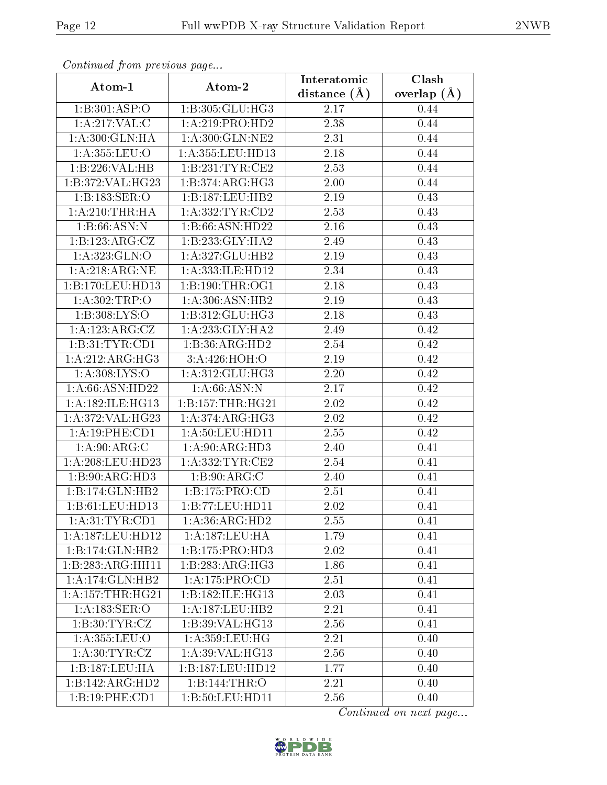| Contentaca from proctotto pago      |                     | Interatomic       | Clash           |
|-------------------------------------|---------------------|-------------------|-----------------|
| Atom-1                              | Atom-2              | distance $(A)$    | overlap $(\AA)$ |
| 1:B:301:ASP:O                       | 1:B:305:GLU:HG3     | 2.17              | 0.44            |
| 1: A:217: VAL:C                     | 1:A:219:PRO:HD2     | 2.38              | 0.44            |
| 1:A:300:GLN:HA                      | 1:A:300:GLN:NE2     | 2.31              | 0.44            |
| 1: A: 355: LEU: O                   | 1:A:355:LEU:HD13    | 2.18              | 0.44            |
| 1:B:226:VAL:HB                      | 1:B:231:TYR:CE2     | 2.53              | 0.44            |
| 1:B:372:VAL:HG23                    | 1:B:374:ARG:HG3     | 2.00              | 0.44            |
| 1:B:183:SER:O                       | 1:B:187:LEU:HB2     | $\overline{2.19}$ | 0.43            |
| 1: A:210:THR:HA                     | 1: A: 332: TYR: CD2 | 2.53              | 0.43            |
| 1:B:66:ASN:N                        | 1:B:66:ASN:HD22     | 2.16              | 0.43            |
| 1:B:123:ARG:CZ                      | 1:B:233:GLY:HA2     | 2.49              | 0.43            |
| 1:A:323:GLN:O                       | 1:A:327:GLU:HB2     | 2.19              | 0.43            |
| 1:A:218:ARG:NE                      | 1:A:333:ILE:HD12    | 2.34              | 0.43            |
| 1:B:170:LEU:HD13                    | 1: B: 190: THR: OG1 | 2.18              | 0.43            |
| 1: A:302:TRP:O                      | 1: A:306: ASN: HB2  | 2.19              | 0.43            |
| 1: B: 308: LYS: O                   | 1: B: 312: GLU: HG3 | 2.18              | 0.43            |
| 1:A:123:ARG:CZ                      | 1: A:233: GLY:HA2   | 2.49              | 0.42            |
| 1:B:31:TYR:CD1                      | 1:B:36:ARG:HD2      | 2.54              | 0.42            |
| 1:A:212:ARG:HG3                     | 3:A:426:HOH:O       | 2.19              | 0.42            |
| 1: A:308: LYS:O                     | 1: A:312: GLU:HG3   | 2.20              | 0.42            |
| $1: A:66: \overline{ASN}:HD22$      | 1: A:66: ASN: N     | 2.17              | 0.42            |
| 1:A:182:ILE:HG13                    | 1:B:157:THR:HG21    | 2.02              | 0.42            |
| 1:A:372:VAL:HG23                    | 1: A:374:ARG:HG3    | 2.02              | 0.42            |
| 1:A:19:PHE:CD1                      | 1: A:50: LEU: HD11  | 2.55              | 0.42            |
| 1: A:90: ARG: C                     | 1: A:90: ARG: HD3   | 2.40              | 0.41            |
| 1: A:208:LEU:HD23                   | 1: A: 332: TYR: CE2 | 2.54              | 0.41            |
| 1:B:90:ARG:HD3                      | 1: B:90:ARG:C       | 2.40              | 0.41            |
| 1:B:174:GLN:HB2                     | 1:B:175:PRO:CD      | 2.51              | 0.41            |
| 1:B:61:LEU:HD13                     | 1:B:77:LEU:HDI1     | 2.02              | 0.41            |
| 1: A:31: TYR: CD1                   | 1: A:36: ARG:HD2    | 2.55              | 0.41            |
| 1:A:187:LEU:HD12                    | 1:A:187:LEU:HA      | 1.79              | 0.41            |
| 1:B:174:GLN:HB2                     | 1:B:175:PRO:HD3     | 2.02              | 0.41            |
| 1:B:283:ARG:HH11                    | 1:B:283:ARG:HG3     | 1.86              | 0.41            |
| 1:A:174:GLN:HB2                     | 1:A:175:PRO:CD      | 2.51              | 0.41            |
| 1: A: 157: THR: HG21                | 1:B:182:ILE:HG13    | 2.03              | 0.41            |
| 1: A: 183: SER: O                   | 1: A: 187: LEU: HB2 | 2.21              | 0.41            |
| 1: B:30: TYR: CZ                    | 1:B:39:VAL:HG13     | 2.56              | 0.41            |
| $1:$ A:355:LEU:O                    | 1:A:359:LEU:HG      | 2.21              | 0.40            |
| 1: A:30: TYR: CZ                    | 1: A:39: VAL: HG13  | 2.56              | 0.40            |
| 1:B:187:LEU:HA                      | 1:B:187:LEU:HD12    | 1.77              | 0.40            |
| $1:B:142: \overline{\text{AG:HD2}}$ | 1:B:144:THR:O       | 2.21              | 0.40            |
| 1:B:19:PHE:CD1                      | 1:B:50:LEU:HD11     | 2.56              | 0.40            |

Continued from previous page.

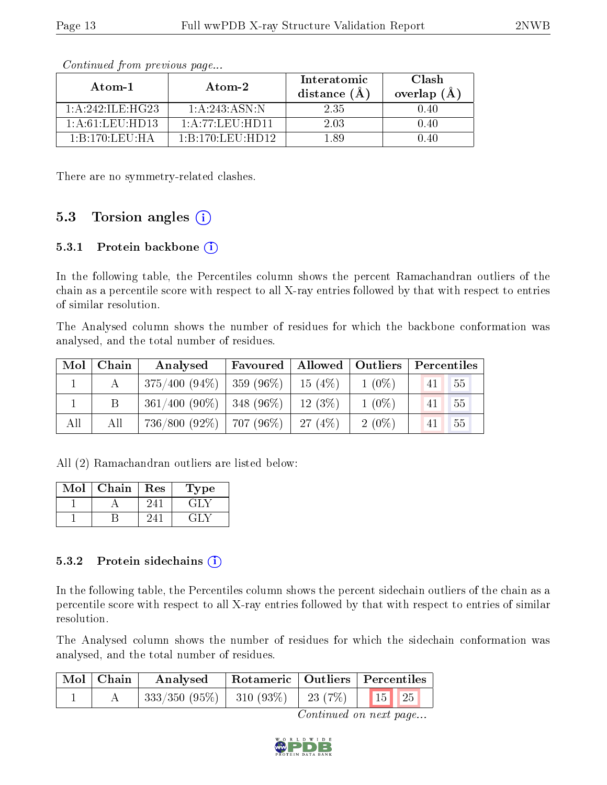| Atom-1                                                  | Atom-2                          | Interatomic<br>distance (A | Clash<br>overlap $(A)$ |
|---------------------------------------------------------|---------------------------------|----------------------------|------------------------|
| 1: A:242: ILE:HG23                                      | 1: A: 243: ASN: N               | 2.35                       | 0.40                   |
| 1: A:61:LEU:HD13                                        | $1:$ A $:77:$ Leu $:$ HD11 $\,$ | 2.03                       | 0.40                   |
| $1 \cdot B \cdot 170 \cdot I \cdot E \cdot I \cdot H$ A | 1:B:170:LEU:HD12                | -89                        | T 40                   |

Continued from previous page...

There are no symmetry-related clashes.

#### 5.3 Torsion angles  $(i)$

#### 5.3.1 Protein backbone (i)

In the following table, the Percentiles column shows the percent Ramachandran outliers of the chain as a percentile score with respect to all X-ray entries followed by that with respect to entries of similar resolution.

The Analysed column shows the number of residues for which the backbone conformation was analysed, and the total number of residues.

| Mol | Chain | Analysed                        | Favoured | Allowed   Outliers |          | Percentiles |  |
|-----|-------|---------------------------------|----------|--------------------|----------|-------------|--|
|     |       | $375/400 (94\%)$   359 (96\%)   |          | $15(4\%)$          | $1(0\%)$ | 55<br>41    |  |
|     |       | $361/400$ (90%)   348 (96%)     |          | $12(3\%)$          | $1(0\%)$ | 55<br>41    |  |
| All | All   | $736/800$ (92\%)   $707$ (96\%) |          | 27(4%)             | $2(0\%)$ | 55<br>41    |  |

All (2) Ramachandran outliers are listed below:

| $\operatorname{Mol}$ | Chain | Res | Type |
|----------------------|-------|-----|------|
|                      |       | 24. | EH 1 |
|                      |       |     |      |

#### 5.3.2 Protein sidechains  $(i)$

In the following table, the Percentiles column shows the percent sidechain outliers of the chain as a percentile score with respect to all X-ray entries followed by that with respect to entries of similar resolution.

The Analysed column shows the number of residues for which the sidechain conformation was analysed, and the total number of residues.

| $\mid$ Mol $\mid$ Chain | Analysed                                     |  | Rotameric   Outliers   Percentiles |
|-------------------------|----------------------------------------------|--|------------------------------------|
|                         | $^+$ 333/350 (95%)   310 (93%)   23 (7%)   \ |  | $\boxed{15}$ $\boxed{25}$          |

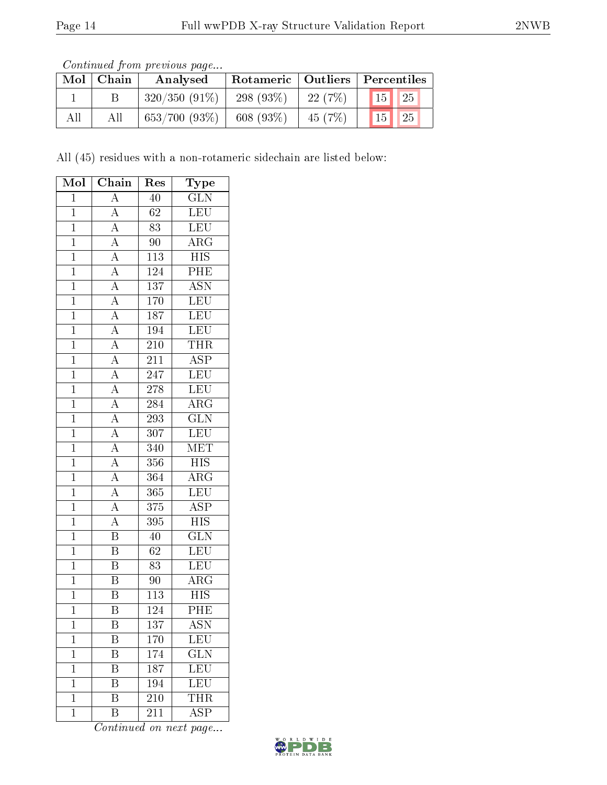| <i>Continued from previous page</i> |  |  |
|-------------------------------------|--|--|
|                                     |  |  |

|     | $\mathrm{Mol}\mid\mathrm{Chain}$ | Analysed        |              |           | Rotameric   Outliers   Percentiles |
|-----|----------------------------------|-----------------|--------------|-----------|------------------------------------|
|     |                                  | $320/350(91\%)$ | 298 $(93\%)$ | 22(7%)    | $\vert 15 \vert \vert 25 \vert$    |
| All | Аll                              | 653/700(93%)    | 608 $(93\%)$ | 45 $(7%)$ | $\vert$ 25<br>$\vert 15 \vert$     |

All (45) residues with a non-rotameric sidechain are listed below:

| Mol            | Chain                               | Res              | Type                    |
|----------------|-------------------------------------|------------------|-------------------------|
| $\mathbf{1}$   | $\overline{A}$                      | 40               | $\overline{\text{GLN}}$ |
| $\mathbf{1}$   | $\overline{A}$                      | 62               | LEU                     |
| $\overline{1}$ | $\overline{A}$                      | $\overline{83}$  | LEU                     |
| $\overline{1}$ | $\overline{A}$                      | 90               | $\rm{ARG}$              |
| $\overline{1}$ | $\overline{A}$                      | $\overline{113}$ | $\overline{HIS}$        |
| $\overline{1}$ | $\frac{\overline{A}}{\overline{A}}$ | 124              | PHE                     |
| $\overline{1}$ |                                     | 137              | $\overline{\text{ASN}}$ |
| $\overline{1}$ | $\overline{A}$                      | 170              | LEU                     |
| $\overline{1}$ | $\overline{A}$                      | 187              | LEU                     |
| $\overline{1}$ | $\frac{\overline{A}}{\overline{A}}$ | 194              | LEU                     |
| $\mathbf{1}$   |                                     | 210              | THR                     |
| $\mathbf{1}$   |                                     | $21\overline{1}$ | $\overline{\text{ASP}}$ |
| $\mathbf{1}$   | $\frac{\overline{A}}{\overline{A}}$ | 247              | LEU                     |
| $\overline{1}$ | $\overline{A}$                      | $\overline{278}$ | <b>LEU</b>              |
| $\overline{1}$ | $\overline{A}$                      | $\overline{284}$ | $\overline{\rm{ARG}}$   |
| $\mathbf{1}$   | $\frac{\overline{A}}{\overline{A}}$ | 293              | $\overline{\text{GLN}}$ |
| $\mathbf{1}$   |                                     | 307              | LEU                     |
| $\overline{1}$ |                                     | 340              | MET                     |
| $\overline{1}$ | $\frac{\overline{A}}{\overline{A}}$ | $3\sqrt{5}6$     | <b>HIS</b>              |
| $\overline{1}$ |                                     | $\overline{364}$ | $\overline{\text{ARG}}$ |
| $\mathbf{1}$   | $\frac{\overline{A}}{\overline{A}}$ | 365              | LEU                     |
| $\mathbf{1}$   | $\overline{A}$                      | 375              | $\overline{\text{ASP}}$ |
| $\overline{1}$ | $\overline{A}$                      | 395              | $\overline{HIS}$        |
| $\mathbf 1$    | $\overline{\mathrm{B}}$             | 40               | $\overline{\text{GLN}}$ |
| $\overline{1}$ | $\overline{\mathrm{B}}$             | $\overline{62}$  | LEU                     |
| $\mathbf{1}$   | $\overline{\mathrm{B}}$             | 83               | LEU                     |
| $\overline{1}$ | $\overline{\mathrm{B}}$             | 90               | $\overline{\rm{ARG}}$   |
| $\overline{1}$ | $\overline{\mathrm{B}}$             | 113              | <b>HIS</b>              |
| $\overline{1}$ | $\overline{\mathrm{B}}$             | 124              | PHE                     |
| $\mathbf 1$    | Β                                   | 137              | $\operatorname{ASN}$    |
| $\mathbf 1$    | B                                   | 170              | LEU                     |
| $\mathbf 1$    | Β                                   | 174              | $\overline{\text{GLN}}$ |
| $\mathbf{1}$   | B                                   | 187              | <b>LEU</b>              |
| $\mathbf{1}$   | Β                                   | $\overline{1}94$ | LEU                     |
| $\mathbf 1$    | Β                                   | 210              | THR                     |
| $\mathbf 1$    | Β                                   | 211              | $\overline{\text{ASP}}$ |

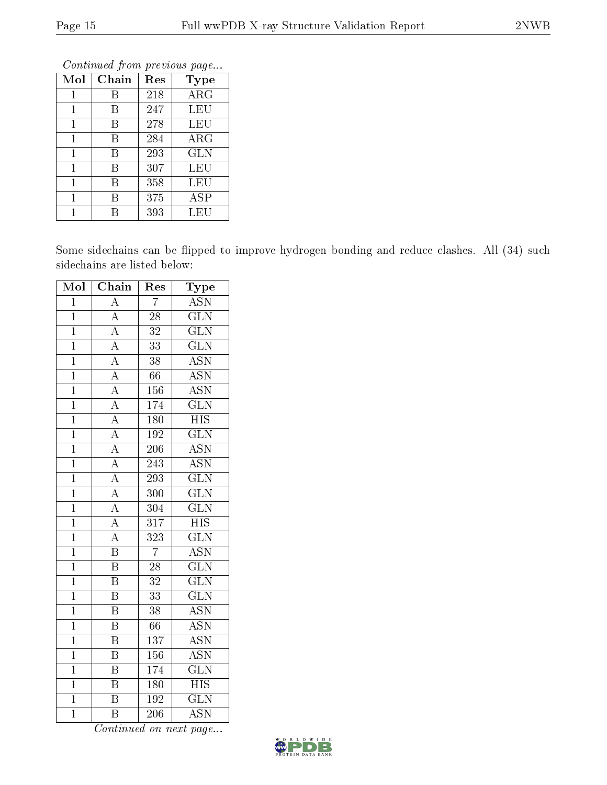|              |       |     | Continuale from previous page |
|--------------|-------|-----|-------------------------------|
| Mol          | Chain | Res | <b>Type</b>                   |
| 1            | В     | 218 | $\rm{ARG}$                    |
| 1            | В     | 247 | LEU                           |
| $\mathbf{1}$ | В     | 278 | LEU                           |
| $\mathbf{1}$ | В     | 284 | $\rm{ARG}$                    |
| 1            | В     | 293 | <b>GLN</b>                    |
| $\mathbf{1}$ | В     | 307 | LEU                           |
| 1            | В     | 358 | LEU                           |
| 1            | В     | 375 | ASP                           |
| 1            | R     | 393 | LEU                           |

Continued from previous page...

Some sidechains can be flipped to improve hydrogen bonding and reduce clashes. All (34) such sidechains are listed below:

| Mol            | $\overline{\text{Chain}}$           | Res              | ${\rm \bar{Ty}pe}$        |
|----------------|-------------------------------------|------------------|---------------------------|
| $\mathbf{1}$   | $\overline{\rm A}$                  | $\overline{7}$   | <b>ASN</b>                |
| $\mathbf 1$    | $\overline{A}$                      | 28               | $\overline{\text{GLN}}$   |
| $\overline{1}$ | $\overline{A}$                      | $\overline{32}$  | $\overline{\text{GLN}}$   |
| $\overline{1}$ | $\overline{A}$                      | 33               | $\overline{\text{GLN}}$   |
| $\overline{1}$ |                                     | $\overline{38}$  | $\overline{\mathrm{ASN}}$ |
| $\overline{1}$ | $\frac{\overline{A}}{A}$            | 66               | $\overline{\text{ASN}}$   |
| $\overline{1}$ | $\overline{A}$                      | 156              | $\overline{\text{ASN}}$   |
| $\overline{1}$ | $\frac{1}{A}$                       | $\overline{174}$ | $\overline{\text{GLN}}$   |
| $\overline{1}$ |                                     | $\overline{180}$ | $\overline{HIS}$          |
| $\overline{1}$ | $\frac{\overline{A}}{A}$            | $\overline{192}$ | $\overline{\text{GLN}}$   |
| $\overline{1}$ | $\overline{A}$                      | $\overline{206}$ | $\overline{\text{ASN}}$   |
| $\overline{1}$ | $\overline{A}$                      | $\overline{243}$ | $\overline{\mathrm{ASN}}$ |
| $\overline{1}$ | $\frac{\overline{A}}{\overline{A}}$ | $\overline{293}$ | $\overline{\text{GLN}}$   |
| $\overline{1}$ |                                     | $\overline{300}$ | $\overline{\text{GLN}}$   |
| $\overline{1}$ |                                     | $\overline{304}$ | $\overline{\text{GLN}}$   |
| $\overline{1}$ | $\overline{A}$                      | $\overline{317}$ | $\overline{HIS}$          |
| $\overline{1}$ | $\overline{A}$                      | $\overline{323}$ | $\overline{\text{GLN}}$   |
| $\overline{1}$ | $\overline{\mathbf{B}}$             | $\overline{7}$   | <b>ASN</b>                |
| $\overline{1}$ | $\overline{\mathrm{B}}$             | 28               | $\overline{\text{GLN}}$   |
| $\overline{1}$ | $\overline{\mathrm{B}}$             | $\overline{32}$  | $\overline{\text{GLN}}$   |
| $\overline{1}$ | $\overline{\text{B}}$               | $\overline{33}$  | $\overline{\text{GLN}}$   |
| $\overline{1}$ | $\overline{\mathrm{B}}$             | $\overline{38}$  | $\overline{\text{ASN}}$   |
| $\mathbf{1}$   | $\overline{\mathrm{B}}$             | 66               | <b>ASN</b>                |
| $\overline{1}$ | $\overline{\mathrm{B}}$             | $\overline{137}$ | $\overline{\mathrm{ASN}}$ |
| $\overline{1}$ | $\overline{\text{B}}$               | 156              | $\overline{\text{ASN}}$   |
| $\overline{1}$ | $\overline{\mathrm{B}}$             | $\overline{174}$ | $\overline{\text{GLN}}$   |
| $\overline{1}$ | $\overline{\mathrm{B}}$             | 180              | $\overline{\mathrm{HIS}}$ |
| $\overline{1}$ | $\overline{\mathrm{B}}$             | 192              | $\overline{\text{GLN}}$   |
| $\overline{1}$ | $\overline{\mathrm{B}}$             | $\overline{206}$ | $\overline{\mathrm{ASN}}$ |

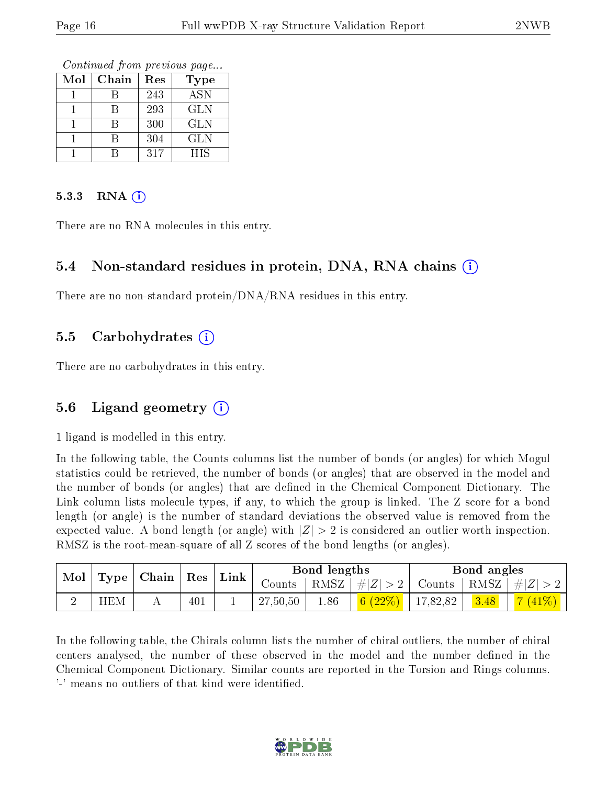Continued from previous page...

| Mol | Chain | Res | Type       |
|-----|-------|-----|------------|
|     |       | 243 | <b>ASN</b> |
|     |       | 293 | <b>GLN</b> |
|     |       | 300 | GLN        |
|     |       | 304 | <b>GLN</b> |
|     |       | 317 | <b>HIS</b> |

#### $5.3.3$  RNA  $(i)$

There are no RNA molecules in this entry.

#### 5.4 Non-standard residues in protein, DNA, RNA chains (i)

There are no non-standard protein/DNA/RNA residues in this entry.

#### 5.5 Carbohydrates (i)

There are no carbohydrates in this entry.

#### 5.6 Ligand geometry  $(i)$

1 ligand is modelled in this entry.

In the following table, the Counts columns list the number of bonds (or angles) for which Mogul statistics could be retrieved, the number of bonds (or angles) that are observed in the model and the number of bonds (or angles) that are defined in the Chemical Component Dictionary. The Link column lists molecule types, if any, to which the group is linked. The Z score for a bond length (or angle) is the number of standard deviations the observed value is removed from the expected value. A bond length (or angle) with  $|Z| > 2$  is considered an outlier worth inspection. RMSZ is the root-mean-square of all Z scores of the bond lengths (or angles).

| Mol | $\mid$ Type $\mid$ Chain $\mid$ Res $\mid$ Link $\mid$ |     |          | Bond lengths |                    |             | Bond angles |                                  |
|-----|--------------------------------------------------------|-----|----------|--------------|--------------------|-------------|-------------|----------------------------------|
|     |                                                        |     | Counts   | † RMSZ∣      | #Z  > 2            |             |             | Counts   RMSZ $\vert \#  Z  > 2$ |
|     | <b>HEM</b>                                             | 401 | 27,50,50 | 1.86         | $\frac{1}{6}(22%)$ | $+17,82,82$ | 3.48        | $ 7(41\%) $                      |

In the following table, the Chirals column lists the number of chiral outliers, the number of chiral centers analysed, the number of these observed in the model and the number defined in the Chemical Component Dictionary. Similar counts are reported in the Torsion and Rings columns. '-' means no outliers of that kind were identified.

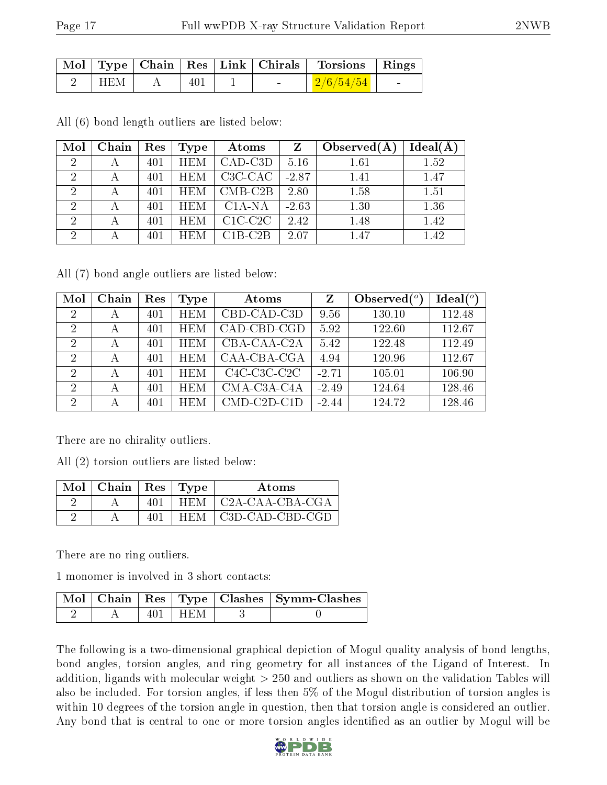|     |     |        | Mol   Type   Chain   Res   Link   Chirals   Torsions   Rings |  |
|-----|-----|--------|--------------------------------------------------------------|--|
| HEM | 401 | $\sim$ | $\mid$ 2/6/54/54 $\mid$                                      |  |

All (6) bond length outliers are listed below:

| Mol            | Chain | Res | <b>Type</b> | Atoms      | Z       | Observed $(A$ | Ideal(A) |
|----------------|-------|-----|-------------|------------|---------|---------------|----------|
| $\overline{2}$ |       | 401 | <b>HEM</b>  | $CAD$ -C3D | 5.16    | 1.61          | 1.52     |
| $\overline{2}$ |       | 401 | <b>HEM</b>  | C3C-CAC    | $-2.87$ | 1.41          | 1.47     |
| $\overline{2}$ |       | 401 | <b>HEM</b>  | $CMB-C2B$  | 2.80    | 1.58          | 1.51     |
| 2              |       | 401 | <b>HEM</b>  | $C1A-NA$   | $-2.63$ | 1.30          | 1.36     |
| റ              |       | 401 | <b>HEM</b>  | $C1C-C2C$  | 2.42    | 1.48          | 1.42     |
| $\overline{2}$ |       | 401 | <b>HEM</b>  | $C1B-C2B$  | 2.07    | 1.47          | 1.42     |

All (7) bond angle outliers are listed below:

| Mol            | Chain | Res | Type       | Atoms                 | Z       | Observed $\binom{o}{c}$ | Ideal(°) |
|----------------|-------|-----|------------|-----------------------|---------|-------------------------|----------|
| -2             | А     | 401 | <b>HEM</b> | CBD-CAD-C3D           | 9.56    | 130.10                  | 112.48   |
| $\mathcal{D}$  | А     | 401 | <b>HEM</b> | CAD-CBD-CGD           | 5.92    | 122.60                  | 112.67   |
| -2             | А     | 401 | <b>HEM</b> | CBA-CAA-C2A           | 5.42    | 122.48                  | 112.49   |
| $\mathcal{D}$  | А     | 401 | <b>HEM</b> | $CAA-CBA-CGA$         | 4.94    | 120.96                  | 112.67   |
| $\overline{2}$ | А     | 401 | <b>HEM</b> | $C4C-C3C-C2C$         | $-2.71$ | 105.01                  | 106.90   |
| $\mathcal{D}$  | А     | 401 | <b>HEM</b> | CMA-C3A-C4A           | $-2.49$ | 124.64                  | 128.46   |
| 2              |       | 401 | <b>HEM</b> | $CMD$ - $C2D$ - $C1D$ | $-2.44$ | 124.72                  | 128.46   |

There are no chirality outliers.

All (2) torsion outliers are listed below:

| Mol | Chain | Res | Type       | Atoms           |
|-----|-------|-----|------------|-----------------|
|     |       |     | <b>HEM</b> | C2A-CAA-CBA-CGA |
|     |       |     | HEM        | C3D-CAD-CBD-CGD |

There are no ring outliers.

1 monomer is involved in 3 short contacts:

|  |        | Mol   Chain   Res   Type   Clashes   Symm-Clashes |
|--|--------|---------------------------------------------------|
|  | – HENI |                                                   |

The following is a two-dimensional graphical depiction of Mogul quality analysis of bond lengths, bond angles, torsion angles, and ring geometry for all instances of the Ligand of Interest. In addition, ligands with molecular weight > 250 and outliers as shown on the validation Tables will also be included. For torsion angles, if less then 5% of the Mogul distribution of torsion angles is within 10 degrees of the torsion angle in question, then that torsion angle is considered an outlier. Any bond that is central to one or more torsion angles identified as an outlier by Mogul will be

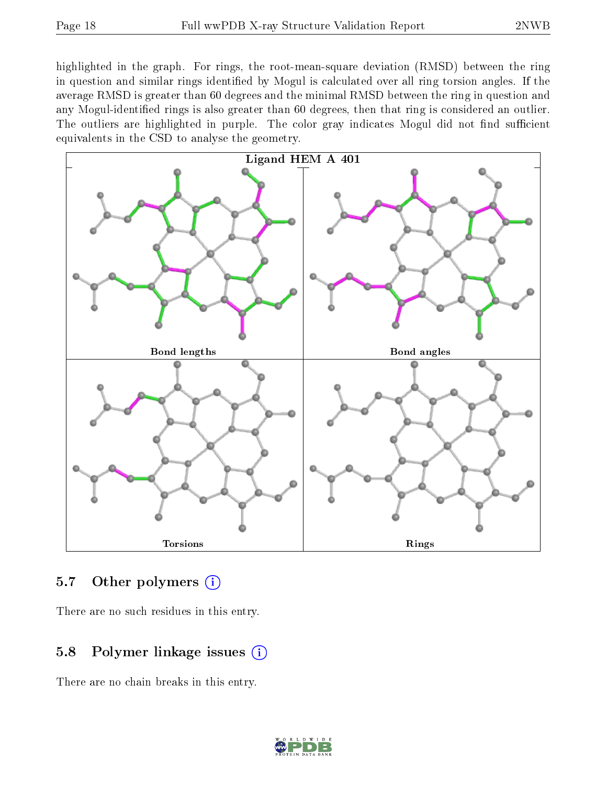highlighted in the graph. For rings, the root-mean-square deviation (RMSD) between the ring in question and similar rings identified by Mogul is calculated over all ring torsion angles. If the average RMSD is greater than 60 degrees and the minimal RMSD between the ring in question and any Mogul-identied rings is also greater than 60 degrees, then that ring is considered an outlier. The outliers are highlighted in purple. The color gray indicates Mogul did not find sufficient equivalents in the CSD to analyse the geometry.



#### 5.7 [O](https://www.wwpdb.org/validation/2017/XrayValidationReportHelp#nonstandard_residues_and_ligands)ther polymers  $(i)$

There are no such residues in this entry.

#### 5.8 Polymer linkage issues (i)

There are no chain breaks in this entry.

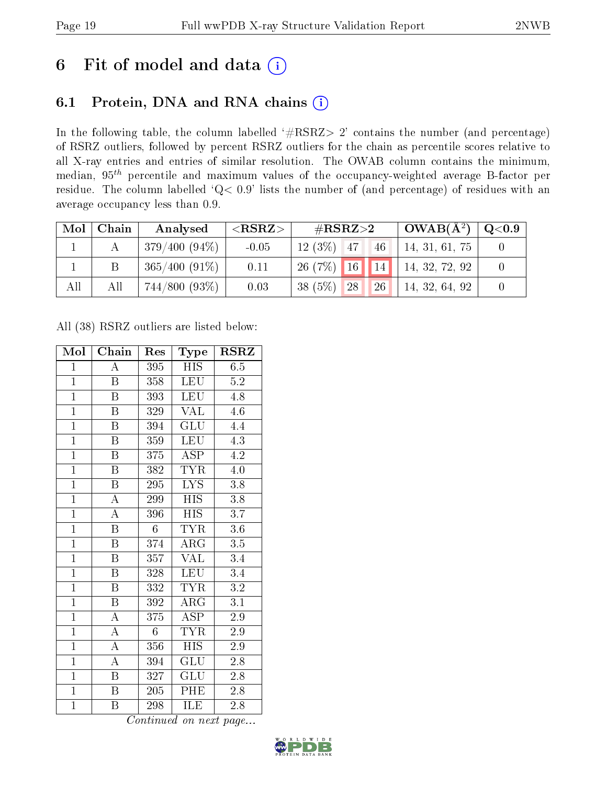## 6 Fit of model and data  $(i)$

### 6.1 Protein, DNA and RNA chains  $(i)$

In the following table, the column labelled  $#RSRZ> 2'$  contains the number (and percentage) of RSRZ outliers, followed by percent RSRZ outliers for the chain as percentile scores relative to all X-ray entries and entries of similar resolution. The OWAB column contains the minimum, median,  $95<sup>th</sup>$  percentile and maximum values of the occupancy-weighted average B-factor per residue. The column labelled ' $Q< 0.9$ ' lists the number of (and percentage) of residues with an average occupancy less than 0.9.

| Mol | Chain | Analysed        | ${ <\hspace{-1.5pt}{\mathrm{RSRZ}} \hspace{-1.5pt}>}$ | # $RSRZ>2$                            | $\sqrt{\text{OWAB(A^2)}}$ | $\rm{Q}\textcolor{black}{<}0.9$ |
|-----|-------|-----------------|-------------------------------------------------------|---------------------------------------|---------------------------|---------------------------------|
|     |       | $379/400(94\%)$ | $-0.05$                                               | $12(3\%)$ 47<br>146                   | 14, 31, 61, 75            |                                 |
|     |       | $365/400(91\%)$ | 0.11                                                  | $26(7\%)$ 16 14 14, 32, 72, 92        |                           |                                 |
| All | All   | 744/800 (93%)   | 0.03                                                  | 38 (5%)<br><b>26</b><br><sup>28</sup> | 14, 32, 64, 92            |                                 |

All (38) RSRZ outliers are listed below:

| Mol            | Chain                   | Res            | Type                      | <b>RSRZ</b>      |
|----------------|-------------------------|----------------|---------------------------|------------------|
| $\mathbf{1}$   | $\overline{\rm A}$      | 395            | HIS                       | 6.5              |
| $\mathbf{1}$   | B                       | 358            | <b>LEU</b>                | $5.2\,$          |
| $\overline{1}$ | B                       | 393            | <b>LEU</b>                | 4.8              |
| $\mathbf{1}$   | $\boldsymbol{B}$        | 329            | <b>VAL</b>                | 4.6              |
| $\overline{1}$ | $\overline{\mathrm{B}}$ | 394            | $\overline{\mathrm{GLU}}$ | 4.4              |
| $\overline{1}$ | $\overline{B}$          | 359            | <b>LEU</b>                | 4.3              |
| $\overline{1}$ | $\overline{B}$          | 375            | <b>ASP</b>                | 4.2              |
| $\overline{1}$ | $\boldsymbol{B}$        | 382            | TYR                       | $4.0\,$          |
| $\overline{1}$ | $\overline{\mathrm{B}}$ | 295            | <b>LYS</b>                | 3.8              |
| $\overline{1}$ | $\overline{\rm A}$      | 299            | <b>HIS</b>                | $\overline{3.8}$ |
| $\overline{1}$ | $\overline{\rm A}$      | 396            | <b>HIS</b>                | 3.7              |
| $\overline{1}$ | $\overline{\mathrm{B}}$ | 6              | <b>TYR</b>                | $3.6\,$          |
| $\overline{1}$ | $\overline{B}$          | 374            | ARG                       | 3.5              |
| $\overline{1}$ | $\boldsymbol{B}$        | 357            | $\overline{\text{VAL}}$   | 3.4              |
| $\overline{1}$ | $\overline{\mathrm{B}}$ | 328            | LEU                       | $\overline{3.4}$ |
| $\mathbf{1}$   | $\boldsymbol{B}$        | 332            | <b>TYR</b>                | $\overline{3.2}$ |
| $\overline{1}$ | $\overline{\mathrm{B}}$ | 392            | $\overline{\text{ARG}}$   | $\overline{3.1}$ |
| $\mathbf{1}$   | A                       | 375            | ASP                       | 2.9              |
| $\overline{1}$ | $\boldsymbol{A}$        | $\overline{6}$ | <b>TYR</b>                | 2.9              |
| $\overline{1}$ | $\overline{\rm A}$      | 356            | <b>HIS</b>                | $2.9\,$          |
| $\mathbf{1}$   | $\boldsymbol{A}$        | 394            | <b>GLU</b>                | 2.8              |
| $\mathbf{1}$   | B                       | 327            | GLU                       | $2.8\,$          |
| $\overline{1}$ | $\boldsymbol{B}$        | 205            | PHE                       | 2.8              |
| $\mathbf{1}$   | B                       | 298            | ILE                       | 2.8              |

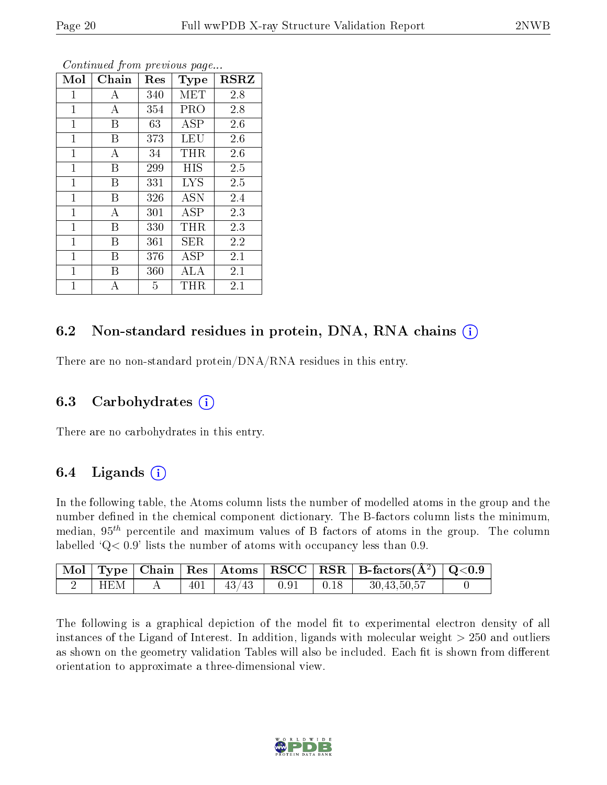| Mol            | Chain | Res | <b>Type</b> | <b>RSRZ</b> |
|----------------|-------|-----|-------------|-------------|
| 1              | А     | 340 | MET         | 2.8         |
| $\mathbf{1}$   | А     | 354 | PRO         | 2.8         |
| $\mathbf 1$    | В     | 63  | <b>ASP</b>  | 2.6         |
| $\mathbf{1}$   | В     | 373 | LEU         | 2.6         |
| $\mathbf{1}$   | A     | 34  | THR.        | 2.6         |
| $\overline{1}$ | B     | 299 | HIS         | 2.5         |
| $\overline{1}$ | B     | 331 | <b>LYS</b>  | 2.5         |
| $\overline{1}$ | В     | 326 | <b>ASN</b>  | 2.4         |
| $\overline{1}$ | А     | 301 | ASP         | 2.3         |
| $\mathbf{1}$   | B     | 330 | THR         | 2.3         |
| $\mathbf{1}$   | В     | 361 | SER         | 2.2         |
| $\mathbf 1$    | В     | 376 | ASP         | 2.1         |
| 1              | В     | 360 | ALA         | 2.1         |
| 1              | А     | 5   | $\rm THR$   | 2.1         |

Continued from previous page...

#### 6.2 Non-standard residues in protein, DNA, RNA chains  $(i)$

There are no non-standard protein/DNA/RNA residues in this entry.

#### 6.3 Carbohydrates (i)

There are no carbohydrates in this entry.

#### 6.4 Ligands  $(i)$

In the following table, the Atoms column lists the number of modelled atoms in the group and the number defined in the chemical component dictionary. The B-factors column lists the minimum, median,  $95<sup>th</sup>$  percentile and maximum values of B factors of atoms in the group. The column labelled  $Q< 0.9$  lists the number of atoms with occupancy less than 0.9.

|     |  |                                   |  | $\mid$ Mol $\mid$ Type $\mid$ Chain $\mid$ Res $\mid$ Atoms $\mid$ RSCC $\mid$ RSR $\mid$ B-factors(A <sup>2</sup> ) $\mid$ Q<0.9 |  |
|-----|--|-----------------------------------|--|-----------------------------------------------------------------------------------------------------------------------------------|--|
| HEM |  | $401$   $43/43$   $0.91$   $0.18$ |  | 30,43,50,57                                                                                                                       |  |

The following is a graphical depiction of the model fit to experimental electron density of all instances of the Ligand of Interest. In addition, ligands with molecular weight  $> 250$  and outliers as shown on the geometry validation Tables will also be included. Each fit is shown from different orientation to approximate a three-dimensional view.